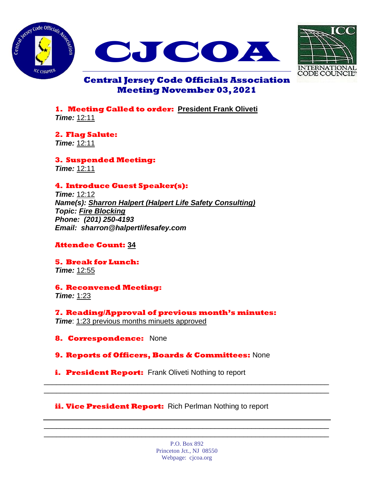





# **Central Jersey Code Officials Association Meeting November 03, 2021**

**1. Meeting Called to order: President Frank Oliveti** *Time:* 12:11

**2. Flag Salute:** *Time:* 12:11

**3. Suspended Meeting:** *Time:* 12:11

# **4. Introduce Guest Speaker(s):**

*Time:* 12:12 *Name(s): Sharron Halpert (Halpert Life Safety Consulting) Topic: Fire Blocking Phone: (201) 250-4193 Email: sharron@halpertlifesafey.com*

# **Attendee Count: 34**

**5. Break for Lunch:** *Time:* 12:55

**6. Reconvened Meeting:** *Time:* 1:23

**7. Reading/Approval of previous month's minutes:** *Time*: 1:23 previous months minuets approved

**8. Correspondence:** None

**9. Reports of Officers, Boards & Committees:** None

**i.** President Report: Frank Oliveti Nothing to report

# **ii. Vice President Report:** Rich Perlman Nothing to report

P.O. Box 892 Princeton Jct., NJ 08550 Webpage: cjcoa.org

\_\_\_\_\_\_\_\_\_\_\_\_\_\_\_\_\_\_\_\_\_\_\_\_\_\_\_\_\_\_\_\_\_\_\_\_\_\_\_\_\_\_\_\_\_\_\_\_\_\_\_\_\_\_\_\_\_\_\_\_\_\_\_\_\_\_\_\_\_\_ \_\_\_\_\_\_\_\_\_\_\_\_\_\_\_\_\_\_\_\_\_\_\_\_\_\_\_\_\_\_\_\_\_\_\_\_\_\_\_\_\_\_\_\_\_\_\_\_\_\_\_\_\_\_\_\_\_\_\_\_\_\_\_\_\_\_\_\_\_\_

\_\_\_\_\_\_\_\_\_\_\_\_\_\_\_\_\_\_\_\_\_\_\_\_\_\_\_\_\_\_\_\_\_\_\_\_\_\_\_\_\_\_\_\_\_\_\_\_\_\_\_\_\_\_\_\_\_\_\_\_\_\_\_\_\_\_\_\_\_\_ \_\_\_\_\_\_\_\_\_\_\_\_\_\_\_\_\_\_\_\_\_\_\_\_\_\_\_\_\_\_\_\_\_\_\_\_\_\_\_\_\_\_\_\_\_\_\_\_\_\_\_\_\_\_\_\_\_\_\_\_\_\_\_\_\_\_\_\_\_\_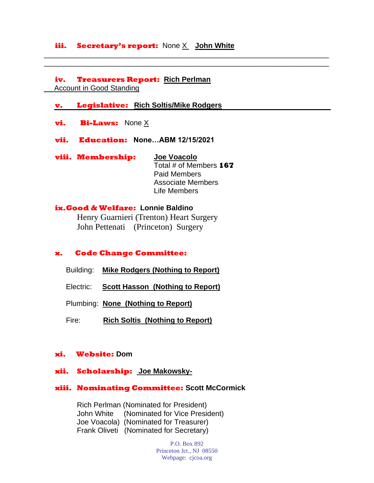### **iii. Secretary's report:** None X **John White**

\_\_\_\_\_\_\_\_\_\_\_\_\_\_\_\_\_\_\_\_\_\_\_\_\_\_\_\_\_\_\_\_\_\_\_\_\_\_\_\_\_\_\_\_\_\_\_\_\_\_\_\_\_\_\_\_\_\_\_\_\_\_\_\_\_\_\_\_\_\_ \_\_\_\_\_\_\_\_\_\_\_\_\_\_\_\_\_\_\_\_\_\_\_\_\_\_\_\_\_\_\_\_\_\_\_\_\_\_\_\_\_\_\_\_\_\_\_\_\_\_\_\_\_\_\_\_\_\_\_\_\_\_\_\_\_\_\_\_\_\_

**iv. Treasurers Report: Rich Perlman** Account in Good Standing

#### **v. Legislative: Rich Soltis/Mike Rodgers**

- **vi. Bi-Laws:** None X
- **vii. Education: None…ABM 12/15/2021**

**viii. Membership: Joe Voacolo** Total # of Members **167** Paid Members Associate Members Life Members

### **ix.Good & Welfare: Lonnie Baldino**

Henry Guarnieri (Trenton) Heart Surgery John Pettenati (Princeton) Surgery

#### **x. Code Change Committee:**

- Building: **Mike Rodgers (Nothing to Report)**
- Electric: **Scott Hasson (Nothing to Report)**

Plumbing: **None (Nothing to Report)**

Fire: **Rich Soltis (Nothing to Report)**

#### **xi. Website: Dom**

#### **xii. Scholarship: Joe Makowsky-**

#### **xiii. Nominating Committee: Scott McCormick**

Rich Perlman (Nominated for President) John White (Nominated for Vice President) Joe Voacola) (Nominated for Treasurer) Frank Oliveti (Nominated for Secretary)

> P.O. Box 892 Princeton Jct., NJ 08550 Webpage: cjcoa.org